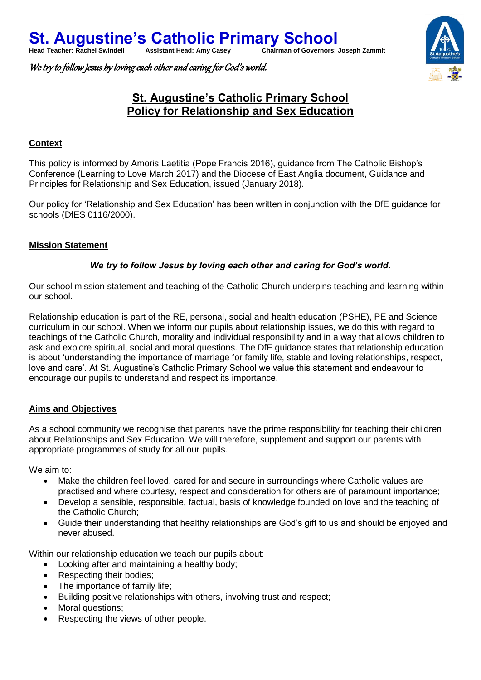We try to follow Jesus by loving each other and caring for God's world.



# **St. Augustine's Catholic Primary School Policy for Relationship and Sex Education**

#### **Context**

This policy is informed by Amoris Laetitia (Pope Francis 2016), guidance from The Catholic Bishop's Conference (Learning to Love March 2017) and the Diocese of East Anglia document, Guidance and Principles for Relationship and Sex Education, issued (January 2018).

Our policy for 'Relationship and Sex Education' has been written in conjunction with the DfE guidance for schools (DfES 0116/2000).

#### **Mission Statement**

#### *We try to follow Jesus by loving each other and caring for God's world.*

Our school mission statement and teaching of the Catholic Church underpins teaching and learning within our school.

Relationship education is part of the RE, personal, social and health education (PSHE), PE and Science curriculum in our school. When we inform our pupils about relationship issues, we do this with regard to teachings of the Catholic Church, morality and individual responsibility and in a way that allows children to ask and explore spiritual, social and moral questions. The DfE guidance states that relationship education is about 'understanding the importance of marriage for family life, stable and loving relationships, respect, love and care'. At St. Augustine's Catholic Primary School we value this statement and endeavour to encourage our pupils to understand and respect its importance.

#### **Aims and Objectives**

As a school community we recognise that parents have the prime responsibility for teaching their children about Relationships and Sex Education. We will therefore, supplement and support our parents with appropriate programmes of study for all our pupils.

We aim to:

- Make the children feel loved, cared for and secure in surroundings where Catholic values are practised and where courtesy, respect and consideration for others are of paramount importance;
- Develop a sensible, responsible, factual, basis of knowledge founded on love and the teaching of the Catholic Church;
- Guide their understanding that healthy relationships are God's gift to us and should be enjoyed and never abused.

Within our relationship education we teach our pupils about:

- Looking after and maintaining a healthy body;
- Respecting their bodies;
- The importance of family life;
- Building positive relationships with others, involving trust and respect;
- Moral questions:
- Respecting the views of other people.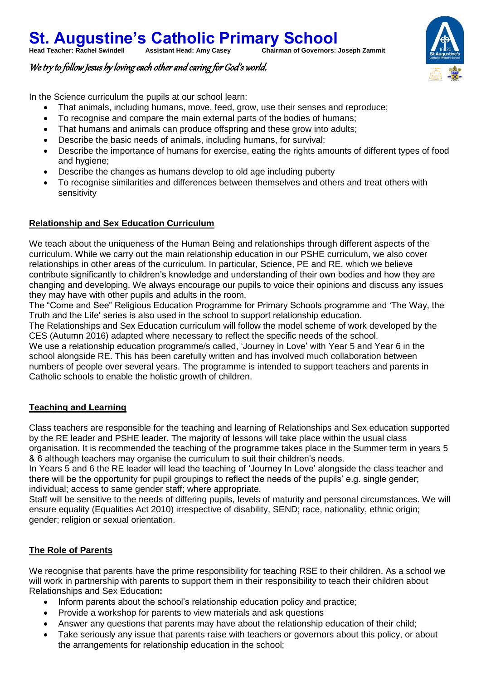## **St. Augustine's Catholic Primary School**<br>Head Teacher: Rachel Swindell Assistant Head: Amy Casey Chairman of Governors: **Chairman of Governors: Joseph Zammit**



### We try to follow Jesus by loving each other and caring for God's world.

In the Science curriculum the pupils at our school learn:

- That animals, including humans, move, feed, grow, use their senses and reproduce;
- To recognise and compare the main external parts of the bodies of humans;
- That humans and animals can produce offspring and these grow into adults;
- Describe the basic needs of animals, including humans, for survival;
- Describe the importance of humans for exercise, eating the rights amounts of different types of food and hygiene;
- Describe the changes as humans develop to old age including puberty
- To recognise similarities and differences between themselves and others and treat others with sensitivity

#### **Relationship and Sex Education Curriculum**

We teach about the uniqueness of the Human Being and relationships through different aspects of the curriculum. While we carry out the main relationship education in our PSHE curriculum, we also cover relationships in other areas of the curriculum. In particular, Science, PE and RE, which we believe contribute significantly to children's knowledge and understanding of their own bodies and how they are changing and developing. We always encourage our pupils to voice their opinions and discuss any issues they may have with other pupils and adults in the room.

The "Come and See" Religious Education Programme for Primary Schools programme and 'The Way, the Truth and the Life' series is also used in the school to support relationship education.

The Relationships and Sex Education curriculum will follow the model scheme of work developed by the CES (Autumn 2016) adapted where necessary to reflect the specific needs of the school.

We use a relationship education programme/s called, 'Journey in Love' with Year 5 and Year 6 in the school alongside RE. This has been carefully written and has involved much collaboration between numbers of people over several years. The programme is intended to support teachers and parents in Catholic schools to enable the holistic growth of children.

#### **Teaching and Learning**

Class teachers are responsible for the teaching and learning of Relationships and Sex education supported by the RE leader and PSHE leader. The majority of lessons will take place within the usual class organisation. It is recommended the teaching of the programme takes place in the Summer term in years 5 & 6 although teachers may organise the curriculum to suit their children's needs.

In Years 5 and 6 the RE leader will lead the teaching of 'Journey In Love' alongside the class teacher and there will be the opportunity for pupil groupings to reflect the needs of the pupils' e.g. single gender; individual; access to same gender staff; where appropriate.

Staff will be sensitive to the needs of differing pupils, levels of maturity and personal circumstances. We will ensure equality (Equalities Act 2010) irrespective of disability, SEND; race, nationality, ethnic origin; gender; religion or sexual orientation.

### **The Role of Parents**

We recognise that parents have the prime responsibility for teaching RSE to their children. As a school we will work in partnership with parents to support them in their responsibility to teach their children about Relationships and Sex Education**:**

- Inform parents about the school's relationship education policy and practice;
- Provide a workshop for parents to view materials and ask questions
- Answer any questions that parents may have about the relationship education of their child;
- Take seriously any issue that parents raise with teachers or governors about this policy, or about the arrangements for relationship education in the school;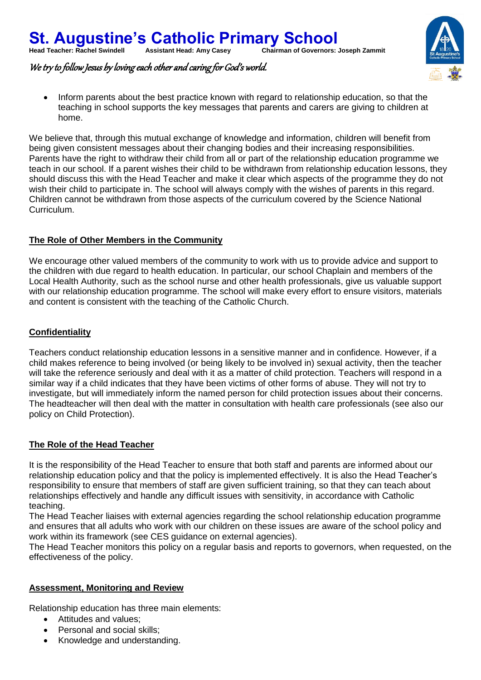

We try to follow Jesus by loving each other and caring for God's world.

 Inform parents about the best practice known with regard to relationship education, so that the teaching in school supports the key messages that parents and carers are giving to children at home.

We believe that, through this mutual exchange of knowledge and information, children will benefit from being given consistent messages about their changing bodies and their increasing responsibilities. Parents have the right to withdraw their child from all or part of the relationship education programme we teach in our school. If a parent wishes their child to be withdrawn from relationship education lessons, they should discuss this with the Head Teacher and make it clear which aspects of the programme they do not wish their child to participate in. The school will always comply with the wishes of parents in this regard. Children cannot be withdrawn from those aspects of the curriculum covered by the Science National Curriculum.

### **The Role of Other Members in the Community**

We encourage other valued members of the community to work with us to provide advice and support to the children with due regard to health education. In particular, our school Chaplain and members of the Local Health Authority, such as the school nurse and other health professionals, give us valuable support with our relationship education programme. The school will make every effort to ensure visitors, materials and content is consistent with the teaching of the Catholic Church.

### **Confidentiality**

Teachers conduct relationship education lessons in a sensitive manner and in confidence. However, if a child makes reference to being involved (or being likely to be involved in) sexual activity, then the teacher will take the reference seriously and deal with it as a matter of child protection. Teachers will respond in a similar way if a child indicates that they have been victims of other forms of abuse. They will not try to investigate, but will immediately inform the named person for child protection issues about their concerns. The headteacher will then deal with the matter in consultation with health care professionals (see also our policy on Child Protection).

### **The Role of the Head Teacher**

It is the responsibility of the Head Teacher to ensure that both staff and parents are informed about our relationship education policy and that the policy is implemented effectively. It is also the Head Teacher's responsibility to ensure that members of staff are given sufficient training, so that they can teach about relationships effectively and handle any difficult issues with sensitivity, in accordance with Catholic teaching.

The Head Teacher liaises with external agencies regarding the school relationship education programme and ensures that all adults who work with our children on these issues are aware of the school policy and work within its framework (see CES guidance on external agencies).

The Head Teacher monitors this policy on a regular basis and reports to governors, when requested, on the effectiveness of the policy.

### **Assessment, Monitoring and Review**

Relationship education has three main elements:

- Attitudes and values;
- Personal and social skills;
- Knowledge and understanding.